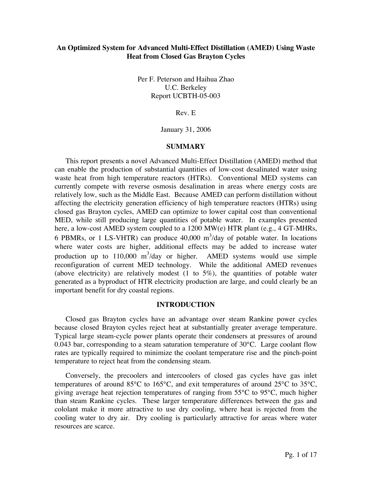# **An Optimized System for Advanced Multi-Effect Distillation (AMED) Using Waste Heat from Closed Gas Brayton Cycles**

Per F. Peterson and Haihua Zhao U.C. Berkeley Report UCBTH-05-003

Rev. E

January 31, 2006

#### **SUMMARY**

This report presents a novel Advanced Multi-Effect Distillation (AMED) method that can enable the production of substantial quantities of low-cost desalinated water using waste heat from high temperature reactors (HTRs). Conventional MED systems can currently compete with reverse osmosis desalination in areas where energy costs are relatively low, such as the Middle East. Because AMED can perform distillation without affecting the electricity generation efficiency of high temperature reactors (HTRs) using closed gas Brayton cycles, AMED can optimize to lower capital cost than conventional MED, while still producing large quantities of potable water. In examples presented here, a low-cost AMED system coupled to a 1200 MW(e) HTR plant (e.g., 4 GT-MHRs, 6 PBMRs, or 1 LS-VHTR) can produce  $40,000 \text{ m}^3/\text{day}$  of potable water. In locations where water costs are higher, additional effects may be added to increase water production up to  $110,000 \text{ m}^3/\text{day}$  or higher. AMED systems would use simple reconfiguration of current MED technology. While the additional AMED revenues (above electricity) are relatively modest (1 to 5%), the quantities of potable water generated as a byproduct of HTR electricity production are large, and could clearly be an important benefit for dry coastal regions.

### **INTRODUCTION**

Closed gas Brayton cycles have an advantage over steam Rankine power cycles because closed Brayton cycles reject heat at substantially greater average temperature. Typical large steam-cycle power plants operate their condensers at pressures of around 0.043 bar, corresponding to a steam saturation temperature of  $30^{\circ}$ C. Large coolant flow rates are typically required to minimize the coolant temperature rise and the pinch-point temperature to reject heat from the condensing steam.

Conversely, the precoolers and intercoolers of closed gas cycles have gas inlet temperatures of around 85°C to 165°C, and exit temperatures of around 25°C to 35°C, giving average heat rejection temperatures of ranging from 55°C to 95°C, much higher than steam Rankine cycles. These larger temperature differences between the gas and cololant make it more attractive to use dry cooling, where heat is rejected from the cooling water to dry air. Dry cooling is particularly attractive for areas where water resources are scarce.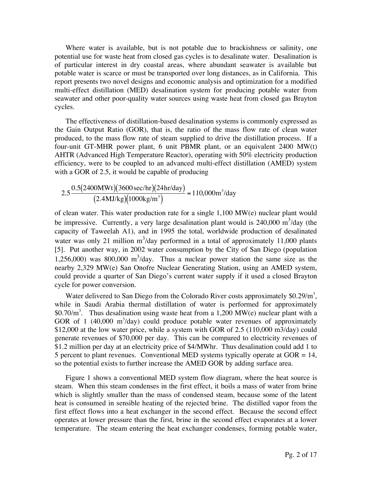Where water is available, but is not potable due to brackishness or salinity, one potential use for waste heat from closed gas cycles is to desalinate water. Desalination is of particular interest in dry coastal areas, where abundant seawater is available but potable water is scarce or must be transported over long distances, as in California. This report presents two novel designs and economic analysis and optimization for a modified multi-effect distillation (MED) desalination system for producing potable water from seawater and other poor-quality water sources using waste heat from closed gas Brayton cycles.

The effectiveness of distillation-based desalination systems is commonly expressed as the Gain Output Ratio (GOR), that is, the ratio of the mass flow rate of clean water produced, to the mass flow rate of steam supplied to drive the distillation process. If a four-unit GT-MHR power plant, 6 unit PBMR plant, or an equivalent 2400 MW(t) AHTR (Advanced High Temperature Reactor), operating with 50% electricity production efficiency, were to be coupled to an advanced multi-effect distillation (AMED) system with a GOR of 2.5, it would be capable of producing

$$
2.5 \frac{0.5(2400 \text{MWt})(3600 \text{ sec/hr})(24 \text{hr/day})}{(2.4 \text{MJ/kg})(1000 \text{kg/m}^3)} = 110,000 \text{m}^3/\text{day}
$$

of clean water. This water production rate for a single 1,100 MW(e) nuclear plant would be impressive. Currently, a very large desalination plant would is  $240,000 \text{ m}^3/\text{day}$  (the capacity of Taweelah A1), and in 1995 the total, worldwide production of desalinated water was only 21 million  $m^3/day$  performed in a total of approximately 11,000 plants [5]. Put another way, in 2002 water consumption by the City of San Diego (population 1,256,000) was 800,000  $m^3$ /day. Thus a nuclear power station the same size as the nearby 2,329 MW(e) San Onofre Nuclear Generating Station, using an AMED system, could provide a quarter of San Diego's current water supply if it used a closed Brayton cycle for power conversion.

Water delivered to San Diego from the Colorado River costs approximately  $$0.29/m^3$ , while in Saudi Arabia thermal distillation of water is performed for approximately \$0.70/ $m<sup>3</sup>$ . Thus desalination using waste heat from a 1,200 MW(e) nuclear plant with a GOR of 1 (40,000  $\text{m}^3$ /day) could produce potable water revenues of approximately \$12,000 at the low water price, while a system with GOR of 2.5 (110,000 m3/day) could generate revenues of \$70,000 per day. This can be compared to electricity revenues of \$1.2 million per day at an electricity price of \$4/MWhr. Thus desalination could add 1 to 5 percent to plant revenues. Conventional MED systems typically operate at  $GOR = 14$ , so the potential exists to further increase the AMED GOR by adding surface area.

Figure 1 shows a conventional MED system flow diagram, where the heat source is steam. When this steam condenses in the first effect, it boils a mass of water from brine which is slightly smaller than the mass of condensed steam, because some of the latent heat is consumed in sensible heating of the rejected brine. The distilled vapor from the first effect flows into a heat exchanger in the second effect. Because the second effect operates at lower pressure than the first, brine in the second effect evaporates at a lower temperature. The steam entering the heat exchanger condenses, forming potable water,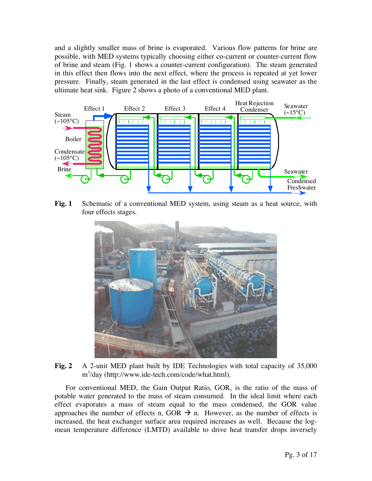and a slightly smaller mass of brine is evaporated. Various flow patterns for brine are possible, with MED systems typically choosing either co-current or counter-current flow of brine and steam (Fig. 1 shows a counter-current configuration). The steam generated in this effect then flows into the next effect, where the process is repeated at yet lower pressure. Finally, steam generated in the last effect is condensed using seawater as the ultimate heat sink. Figure 2 shows a photo of a conventional MED plant.



**Fig. 1** Schematic of a conventional MED system, using steam as a heat source, with four effects stages.



**Fig. 2** A 2-unit MED plant built by IDE Technologies with total capacity of 35,000 m3 /day (http://www.ide-tech.com/code/what.html).

For conventional MED, the Gain Output Ratio, GOR, is the ratio of the mass of potable water generated to the mass of steam consumed. In the ideal limit where each effect evaporates a mass of steam equal to the mass condensed, the GOR value approaches the number of effects n, GOR  $\rightarrow$  n. However, as the number of effects is increased, the heat exchanger surface area required increases as well. Because the logmean temperature difference (LMTD) available to drive heat transfer drops inversely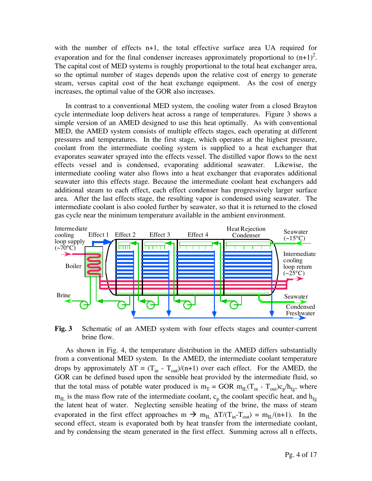with the number of effects n+1, the total effective surface area UA required for evaporation and for the final condenser increases approximately proportional to  $(n+1)^2$ . The capital cost of MED systems is roughly proportional to the total heat exchanger area, so the optimal number of stages depends upon the relative cost of energy to generate steam, versus capital cost of the heat exchange equipment. As the cost of energy increases, the optimal value of the GOR also increases.

In contrast to a conventional MED system, the cooling water from a closed Brayton cycle intermediate loop delivers heat across a range of temperatures. Figure 3 shows a simple version of an AMED designed to use this heat optimally. As with conventional MED, the AMED system consists of multiple effects stages, each operating at different pressures and temperatures. In the first stage, which operates at the highest pressure, coolant from the intermediate cooling system is supplied to a heat exchanger that evaporates seawater sprayed into the effects vessel. The distilled vapor flows to the next effects vessel and is condensed, evaporating additional seawater. Likewise, the intermediate cooling water also flows into a heat exchanger that evaporates additional seawater into this effects stage. Because the intermediate coolant heat exchangers add additional steam to each effect, each effect condenser has progressively larger surface area. After the last effects stage, the resulting vapor is condensed using seawater. The intermediate coolant is also cooled further by seawater, so that it is returned to the closed gas cycle near the minimum temperature available in the ambient environment.



**Fig. 3** Schematic of an AMED system with four effects stages and counter-current brine flow.

As shown in Fig. 4, the temperature distribution in the AMED differs substantially from a conventional MED system. In the AMED, the intermediate coolant temperature drops by approximately  $\Delta T = (T_{in} - T_{out})/(n+1)$  over each effect. For the AMED, the GOR can be defined based upon the sensible heat provided by the intermediate fluid, so that the total mass of potable water produced is  $m_T = GOR m_{IL}(T_{in} - T_{out})c_p/h_{fg}$ , where  $m_{\text{IL}}$  is the mass flow rate of the intermediate coolant,  $c_{\text{p}}$  the coolant specific heat, and  $h_{\text{fg}}$ the latent heat of water. Neglecting sensible heating of the brine, the mass of steam evaporated in the first effect approaches  $m \to m_{IL} \Delta T/(T_{in} - T_{out}) = m_{IL}/(n+1)$ . In the second effect, steam is evaporated both by heat transfer from the intermediate coolant, and by condensing the steam generated in the first effect. Summing across all n effects,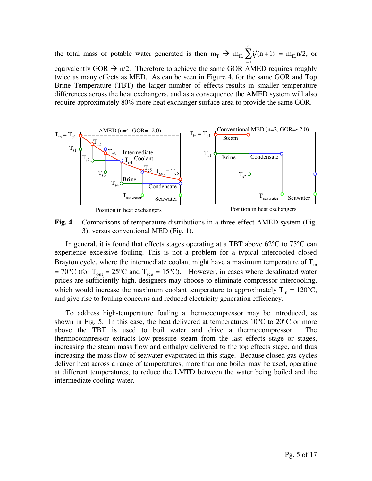the total mass of potable water generated is then  $m_T \rightarrow m_{IL} \sum i/(n+1)$ i=1  $\sum_{n=1}^{n} i/(n+1) = m_{\text{IL}} n/2$ , or equivalently GOR  $\rightarrow$  n/2. Therefore to achieve the same GOR AMED requires roughly twice as many effects as MED. As can be seen in Figure 4, for the same GOR and Top Brine Temperature (TBT) the larger number of effects results in smaller temperature differences across the heat exchangers, and as a consequence the AMED system will also require approximately 80% more heat exchanger surface area to provide the same GOR.



**Fig. 4** Comparisons of temperature distributions in a three-effect AMED system (Fig. 3), versus conventional MED (Fig. 1).

In general, it is found that effects stages operating at a TBT above  $62^{\circ}$ C to  $75^{\circ}$ C can experience excessive fouling. This is not a problem for a typical intercooled closed Brayton cycle, where the intermediate coolant might have a maximum temperature of  $T_{in}$  $= 70^{\circ}$ C (for T<sub>out</sub> = 25°C and T<sub>sea</sub> = 15°C). However, in cases where desalinated water prices are sufficiently high, designers may choose to eliminate compressor intercooling, which would increase the maximum coolant temperature to approximately  $T_{in} = 120^{\circ}C$ , and give rise to fouling concerns and reduced electricity generation efficiency.

To address high-temperature fouling a thermocompressor may be introduced, as shown in Fig. 5. In this case, the heat delivered at temperatures  $10^{\circ}$ C to  $20^{\circ}$ C or more above the TBT is used to boil water and drive a thermocompressor. The thermocompressor extracts low-pressure steam from the last effects stage or stages, increasing the steam mass flow and enthalpy delivered to the top effects stage, and thus increasing the mass flow of seawater evaporated in this stage. Because closed gas cycles deliver heat across a range of temperatures, more than one boiler may be used, operating at different temperatures, to reduce the LMTD between the water being boiled and the intermediate cooling water.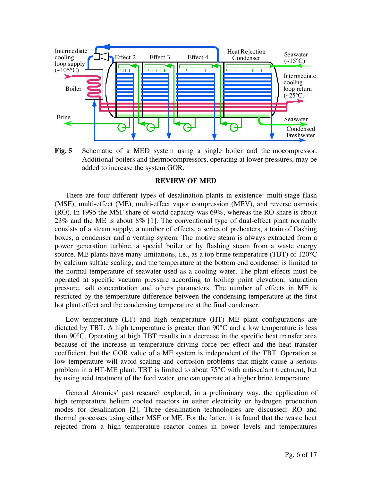

**Fig. 5** Schematic of a MED system using a single boiler and thermocompressor. Additional boilers and thermocompressors, operating at lower pressures, may be added to increase the system GOR.

### **REVIEW OF MED**

There are four different types of desalination plants in existence: multi-stage flash (MSF), multi-effect (ME), multi-effect vapor compression (MEV), and reverse osmosis (RO). In 1995 the MSF share of world capacity was 69%, whereas the RO share is about 23% and the ME is about 8% [1]. The conventional type of dual-effect plant normally consists of a steam supply, a number of effects, a series of preheaters, a train of flashing boxes, a condenser and a venting system. The motive steam is always extracted from a power generation turbine, a special boiler or by flashing steam from a waste energy source. ME plants have many limitations, i.e., as a top brine temperature (TBT) of 120<sup>o</sup>C by calcium sulfate scaling, and the temperature at the bottom end condenser is limited to the normal temperature of seawater used as a cooling water. The plant effects must be operated at specific vacuum pressure according to boiling point elevation, saturation pressure, salt concentration and others parameters. The number of effects in ME is restricted by the temperature difference between the condensing temperature at the first hot plant effect and the condensing temperature at the final condenser.

Low temperature (LT) and high temperature (HT) ME plant configurations are dictated by TBT. A high temperature is greater than 90°C and a low temperature is less than 90°C. Operating at high TBT results in a decrease in the specific heat transfer area because of the increase in temperature driving force per effect and the heat transfer coefficient, but the GOR value of a ME system is independent of the TBT. Operation at low temperature will avoid scaling and corrosion problems that might cause a serious problem in a HT-ME plant. TBT is limited to about 75°C with antiscalant treatment, but by using acid treatment of the feed water, one can operate at a higher brine temperature.

General Atomics' past research explored, in a preliminary way, the application of high temperature helium cooled reactors in either electricity or hydrogen production modes for desalination [2]. Three desalination technologies are discussed: RO and thermal processes using either MSF or ME. For the latter, it is found that the waste heat rejected from a high temperature reactor comes in power levels and temperatures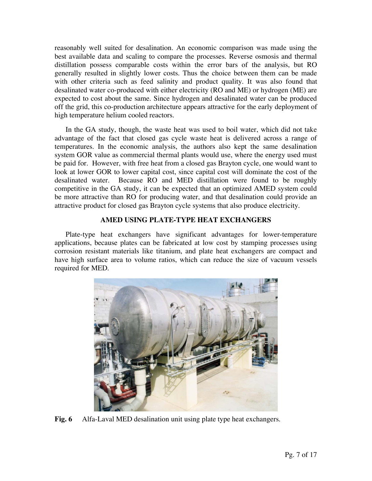reasonably well suited for desalination. An economic comparison was made using the best available data and scaling to compare the processes. Reverse osmosis and thermal distillation possess comparable costs within the error bars of the analysis, but RO generally resulted in slightly lower costs. Thus the choice between them can be made with other criteria such as feed salinity and product quality. It was also found that desalinated water co-produced with either electricity (RO and ME) or hydrogen (ME) are expected to cost about the same. Since hydrogen and desalinated water can be produced off the grid, this co-production architecture appears attractive for the early deployment of high temperature helium cooled reactors.

In the GA study, though, the waste heat was used to boil water, which did not take advantage of the fact that closed gas cycle waste heat is delivered across a range of temperatures. In the economic analysis, the authors also kept the same desalination system GOR value as commercial thermal plants would use, where the energy used must be paid for. However, with free heat from a closed gas Brayton cycle, one would want to look at lower GOR to lower capital cost, since capital cost will dominate the cost of the desalinated water. Because RO and MED distillation were found to be roughly competitive in the GA study, it can be expected that an optimized AMED system could be more attractive than RO for producing water, and that desalination could provide an attractive product for closed gas Brayton cycle systems that also produce electricity.

# **AMED USING PLATE-TYPE HEAT EXCHANGERS**

Plate-type heat exchangers have significant advantages for lower-temperature applications, because plates can be fabricated at low cost by stamping processes using corrosion resistant materials like titanium, and plate heat exchangers are compact and have high surface area to volume ratios, which can reduce the size of vacuum vessels required for MED.



**Fig. 6** Alfa-Laval MED desalination unit using plate type heat exchangers.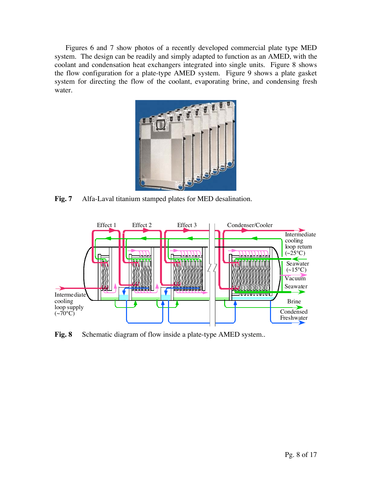Figures 6 and 7 show photos of a recently developed commercial plate type MED system. The design can be readily and simply adapted to function as an AMED, with the coolant and condensation heat exchangers integrated into single units. Figure 8 shows the flow configuration for a plate-type AMED system. Figure 9 shows a plate gasket system for directing the flow of the coolant, evaporating brine, and condensing fresh water.



**Fig. 7** Alfa-Laval titanium stamped plates for MED desalination.



Fig. 8 Schematic diagram of flow inside a plate-type AMED system..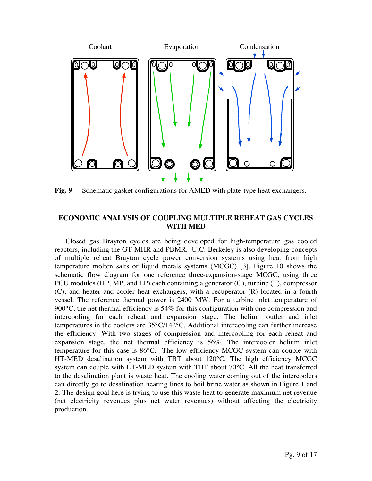

**Fig. 9** Schematic gasket configurations for AMED with plate-type heat exchangers.

# **ECONOMIC ANALYSIS OF COUPLING MULTIPLE REHEAT GAS CYCLES WITH MED**

Closed gas Brayton cycles are being developed for high-temperature gas cooled reactors, including the GT-MHR and PBMR. U.C. Berkeley is also developing concepts of multiple reheat Brayton cycle power conversion systems using heat from high temperature molten salts or liquid metals systems (MCGC) [3]. Figure 10 shows the schematic flow diagram for one reference three-expansion-stage MCGC, using three PCU modules (HP, MP, and LP) each containing a generator (G), turbine (T), compressor (C), and heater and cooler heat exchangers, with a recuperator (R) located in a fourth vessel. The reference thermal power is 2400 MW. For a turbine inlet temperature of 900 $^{\circ}$ C, the net thermal efficiency is 54% for this configuration with one compression and intercooling for each reheat and expansion stage. The helium outlet and inlet temperatures in the coolers are 35°C/142°C. Additional intercooling can further increase the efficiency. With two stages of compression and intercooling for each reheat and expansion stage, the net thermal efficiency is 56%. The intercooler helium inlet temperature for this case is 86°C. The low efficiency MCGC system can couple with HT-MED desalination system with TBT about 120°C. The high efficiency MCGC system can couple with LT-MED system with TBT about 70°C. All the heat transferred to the desalination plant is waste heat. The cooling water coming out of the intercoolers can directly go to desalination heating lines to boil brine water as shown in Figure 1 and 2. The design goal here is trying to use this waste heat to generate maximum net revenue (net electricity revenues plus net water revenues) without affecting the electricity production.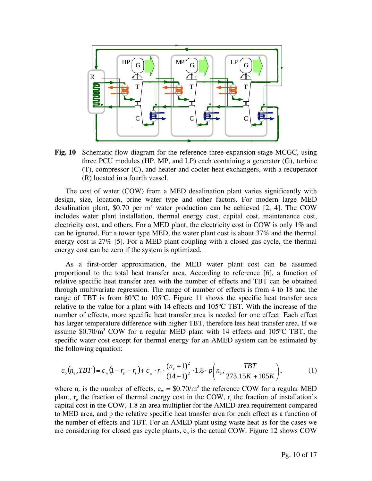

**Fig. 10** Schematic flow diagram for the reference three-expansion-stage MCGC, using three PCU modules (HP, MP, and LP) each containing a generator (G), turbine (T), compressor (C), and heater and cooler heat exchangers, with a recuperator (R) located in a fourth vessel.

The cost of water (COW) from a MED desalination plant varies significantly with design, size, location, brine water type and other factors. For modern large MED desalination plant, \$0.70 per  $m<sup>3</sup>$  water production can be achieved [2, 4]. The COW includes water plant installation, thermal energy cost, capital cost, maintenance cost, electricity cost, and others. For a MED plant, the electricity cost in COW is only 1% and can be ignored. For a tower type MED, the water plant cost is about 37% and the thermal energy cost is 27% [5]. For a MED plant coupling with a closed gas cycle, the thermal energy cost can be zero if the system is optimized.

As a first-order approximation, the MED water plant cost can be assumed proportional to the total heat transfer area. According to reference [6], a function of relative specific heat transfer area with the number of effects and TBT can be obtained through multivariate regression. The range of number of effects is from 4 to 18 and the range of TBT is from 80ºC to 105ºC. Figure 11 shows the specific heat transfer area relative to the value for a plant with 14 effects and 105ºC TBT. With the increase of the number of effects, more specific heat transfer area is needed for one effect. Each effect has larger temperature difference with higher TBT, therefore less heat transfer area. If we assume \$0.70/ $m^3$  COW for a regular MED plant with 14 effects and 105°C TBT, the specific water cost except for thermal energy for an AMED system can be estimated by the following equation:

$$
c_o(n_e, TBT) = c_w(1 - r_e - r_i) + c_w \cdot r_i \cdot \frac{(n_e + 1)^2}{(14 + 1)^2} \cdot 1.8 \cdot p\left(n_e, \frac{TBT}{273.15K + 105K}\right),\tag{1}
$$

where  $n_e$  is the number of effects,  $c_w = $0.70/m^3$  the reference COW for a regular MED plant,  $r_e$  the fraction of thermal energy cost in the COW,  $r_i$  the fraction of installation's capital cost in the COW, 1.8 an area multiplier for the AMED area requirement compared to MED area, and p the relative specific heat transfer area for each effect as a function of the number of effects and TBT. For an AMED plant using waste heat as for the cases we are considering for closed gas cycle plants,  $c_0$  is the actual COW. Figure 12 shows COW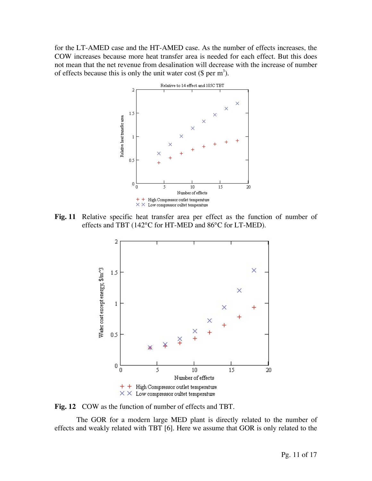for the LT-AMED case and the HT-AMED case. As the number of effects increases, the COW increases because more heat transfer area is needed for each effect. But this does not mean that the net revenue from desalination will decrease with the increase of number of effects because this is only the unit water cost  $(\$ per m<sup>3</sup>)$ .



**Fig. 11** Relative specific heat transfer area per effect as the function of number of effects and TBT (142°C for HT-MED and 86°C for LT-MED).



**Fig. 12** COW as the function of number of effects and TBT.

 The GOR for a modern large MED plant is directly related to the number of effects and weakly related with TBT [6]. Here we assume that GOR is only related to the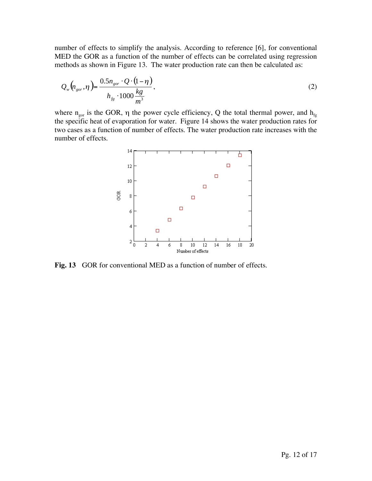number of effects to simplify the analysis. According to reference [6], for conventional MED the GOR as a function of the number of effects can be correlated using regression methods as shown in Figure 13. The water production rate can then be calculated as:

$$
Q_{w}\left(n_{gor},\eta\right) = \frac{0.5n_{gor} \cdot Q \cdot (1-\eta)}{h_{fg} \cdot 1000 \frac{kg}{m^3}},\tag{2}
$$

where  $n_{\text{gor}}$  is the GOR,  $\eta$  the power cycle efficiency, Q the total thermal power, and  $h_{fg}$ the specific heat of evaporation for water. Figure 14 shows the water production rates for two cases as a function of number of effects. The water production rate increases with the number of effects.



**Fig. 13** GOR for conventional MED as a function of number of effects.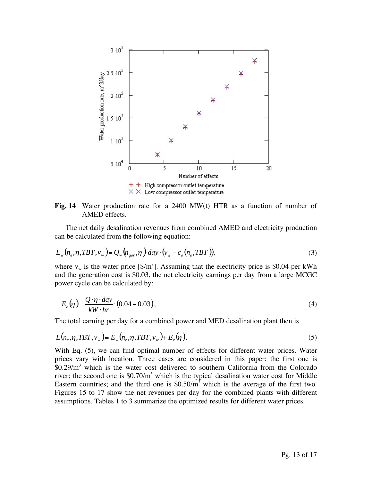

**Fig. 14** Water production rate for a 2400 MW(t) HTR as a function of number of AMED effects.

The net daily desalination revenues from combined AMED and electricity production can be calculated from the following equation:

$$
E_w(n_e, \eta, TBT, v_w) = Q_w(n_{gor}, \eta) \, day \cdot (v_w - c_o(n_e, TBT)), \tag{3}
$$

where  $v_w$  is the water price [\$/m<sup>3</sup>]. Assuming that the electricity price is \$0.04 per kWh and the generation cost is \$0.03, the net electricity earnings per day from a large MCGC power cycle can be calculated by:

$$
E_e(\eta) = \frac{Q \cdot \eta \cdot day}{kW \cdot hr} \cdot (0.04 - 0.03),\tag{4}
$$

The total earning per day for a combined power and MED desalination plant then is

$$
E(n_e, \eta, TBT, \nu_w) = E_w(n_e, \eta, TBT, \nu_w) + E_e(\eta), \qquad (5)
$$

With Eq. (5), we can find optimal number of effects for different water prices. Water prices vary with location. Three cases are considered in this paper: the first one is  $$0.29/m<sup>3</sup>$  which is the water cost delivered to southern California from the Colorado river; the second one is  $$0.70/m<sup>3</sup>$  which is the typical desalination water cost for Middle Eastern countries; and the third one is  $$0.50/m<sup>3</sup>$  which is the average of the first two. Figures 15 to 17 show the net revenues per day for the combined plants with different assumptions. Tables 1 to 3 summarize the optimized results for different water prices.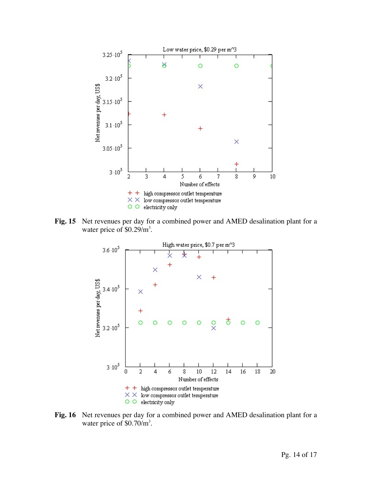

**Fig. 15** Net revenues per day for a combined power and AMED desalination plant for a water price of  $$0.29/m<sup>3</sup>$ .



**Fig. 16** Net revenues per day for a combined power and AMED desalination plant for a water price of  $$0.70/m<sup>3</sup>$ .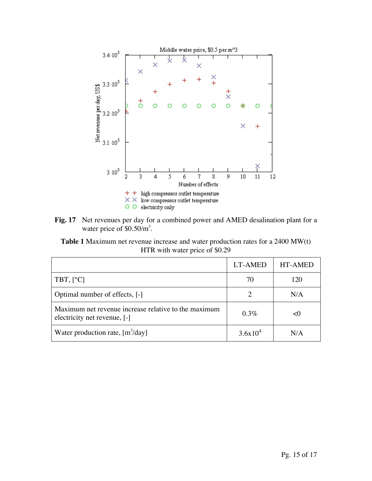

**Fig. 17** Net revenues per day for a combined power and AMED desalination plant for a water price of  $$0.50/m<sup>3</sup>$ .

**Table 1** Maximum net revenue increase and water production rates for a 2400 MW(t) HTR with water price of \$0.29

|                                                                                      | <b>LT-AMED</b> | <b>HT-AMED</b> |
|--------------------------------------------------------------------------------------|----------------|----------------|
| TBT, $[°C]$                                                                          | 70             | 120            |
| Optimal number of effects, [-]                                                       |                | N/A            |
| Maximum net revenue increase relative to the maximum<br>electricity net revenue, [-] | $0.3\%$        |                |
| Water production rate, $[m^3/day]$                                                   | $3.6x10^4$     | N/A            |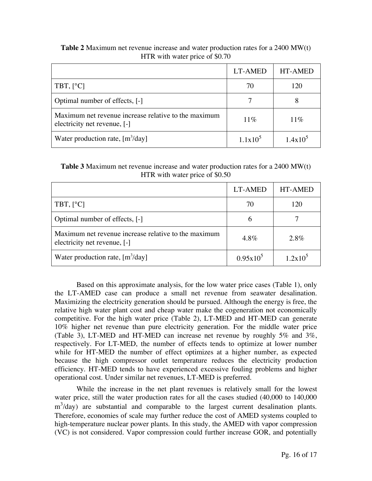|                                                                                                    | LT-AMED           | <b>HT-AMED</b> |
|----------------------------------------------------------------------------------------------------|-------------------|----------------|
| TBT, $[°C]$                                                                                        | 70                | 120            |
| Optimal number of effects, [-]                                                                     |                   |                |
| Maximum net revenue increase relative to the maximum<br>electricity net revenue, $\lceil - \rceil$ | $11\%$            | $11\%$         |
| Water production rate, $[m^3/day]$                                                                 | $1.1 \times 10^5$ | $1.4x10^5$     |

**Table 2** Maximum net revenue increase and water production rates for a 2400 MW(t) HTR with water price of \$0.70

# **Table 3** Maximum net revenue increase and water production rates for a 2400 MW(t) HTR with water price of \$0.50

|                                                                                      | LT-AMED     | <b>HT-AMED</b> |
|--------------------------------------------------------------------------------------|-------------|----------------|
| TBT, $[°C]$                                                                          | 70          | 120            |
| Optimal number of effects, [-]                                                       | 6           |                |
| Maximum net revenue increase relative to the maximum<br>electricity net revenue, [-] | $4.8\%$     | $2.8\%$        |
| Water production rate, $[m^3/day]$                                                   | $0.95x10^5$ | $1.2x10^5$     |

Based on this approximate analysis, for the low water price cases (Table 1), only the LT-AMED case can produce a small net revenue from seawater desalination. Maximizing the electricity generation should be pursued. Although the energy is free, the relative high water plant cost and cheap water make the cogeneration not economically competitive. For the high water price (Table 2), LT-MED and HT-MED can generate 10% higher net revenue than pure electricity generation. For the middle water price (Table 3), LT-MED and HT-MED can increase net revenue by roughly 5% and 3%, respectively. For LT-MED, the number of effects tends to optimize at lower number while for HT-MED the number of effect optimizes at a higher number, as expected because the high compressor outlet temperature reduces the electricity production efficiency. HT-MED tends to have experienced excessive fouling problems and higher operational cost. Under similar net revenues, LT-MED is preferred.

While the increase in the net plant revenues is relatively small for the lowest water price, still the water production rates for all the cases studied (40,000 to 140,000  $m<sup>3</sup>/day$ ) are substantial and comparable to the largest current desalination plants. Therefore, economies of scale may further reduce the cost of AMED systems coupled to high-temperature nuclear power plants. In this study, the AMED with vapor compression (VC) is not considered. Vapor compression could further increase GOR, and potentially